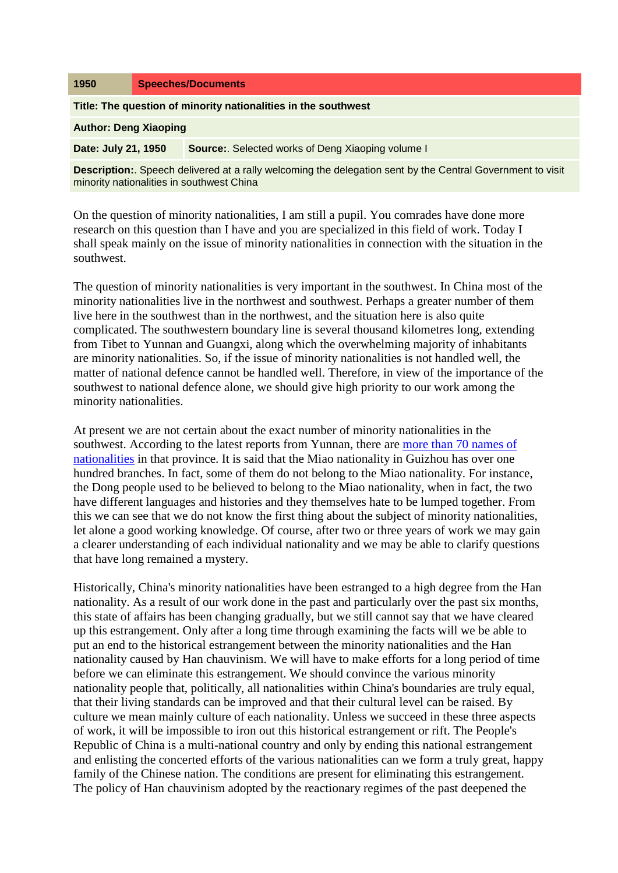| 1950                                                                            | <b>Speeches/Documents</b> |  |  |  |  |  |  |  |  |  |  |  |  |  |
|---------------------------------------------------------------------------------|---------------------------|--|--|--|--|--|--|--|--|--|--|--|--|--|
| Title: The question of minority nationalities in the southwest                  |                           |  |  |  |  |  |  |  |  |  |  |  |  |  |
| <b>Author: Deng Xiaoping</b>                                                    |                           |  |  |  |  |  |  |  |  |  |  |  |  |  |
| Date: July 21, 1950<br><b>Source:.</b> Selected works of Deng Xiaoping volume I |                           |  |  |  |  |  |  |  |  |  |  |  |  |  |
|                                                                                 |                           |  |  |  |  |  |  |  |  |  |  |  |  |  |

**Description:**. Speech delivered at a rally welcoming the delegation sent by the Central Government to visit minority nationalities in southwest China

On the question of minority nationalities, I am still a pupil. You comrades have done more research on this question than I have and you are specialized in this field of work. Today I shall speak mainly on the issue of minority nationalities in connection with the situation in the southwest.

The question of minority nationalities is very important in the southwest. In China most of the minority nationalities live in the northwest and southwest. Perhaps a greater number of them live here in the southwest than in the northwest, and the situation here is also quite complicated. The southwestern boundary line is several thousand kilometres long, extending from Tibet to Yunnan and Guangxi, along which the overwhelming majority of inhabitants are minority nationalities. So, if the issue of minority nationalities is not handled well, the matter of national defence cannot be handled well. Therefore, in view of the importance of the southwest to national defence alone, we should give high priority to our work among the minority nationalities.

At present we are not certain about the exact number of minority nationalities in the southwest. According to the latest reports from Yunnan, there are [more than 70 names of](http://english.peopledaily.com.cn/dengxp/vol1/note/A1290.html)  [nationalities](http://english.peopledaily.com.cn/dengxp/vol1/note/A1290.html) in that province. It is said that the Miao nationality in Guizhou has over one hundred branches. In fact, some of them do not belong to the Miao nationality. For instance, the Dong people used to be believed to belong to the Miao nationality, when in fact, the two have different languages and histories and they themselves hate to be lumped together. From this we can see that we do not know the first thing about the subject of minority nationalities, let alone a good working knowledge. Of course, after two or three years of work we may gain a clearer understanding of each individual nationality and we may be able to clarify questions that have long remained a mystery.

Historically, China's minority nationalities have been estranged to a high degree from the Han nationality. As a result of our work done in the past and particularly over the past six months, this state of affairs has been changing gradually, but we still cannot say that we have cleared up this estrangement. Only after a long time through examining the facts will we be able to put an end to the historical estrangement between the minority nationalities and the Han nationality caused by Han chauvinism. We will have to make efforts for a long period of time before we can eliminate this estrangement. We should convince the various minority nationality people that, politically, all nationalities within China's boundaries are truly equal, that their living standards can be improved and that their cultural level can be raised. By culture we mean mainly culture of each nationality. Unless we succeed in these three aspects of work, it will be impossible to iron out this historical estrangement or rift. The People's Republic of China is a multi-national country and only by ending this national estrangement and enlisting the concerted efforts of the various nationalities can we form a truly great, happy family of the Chinese nation. The conditions are present for eliminating this estrangement. The policy of Han chauvinism adopted by the reactionary regimes of the past deepened the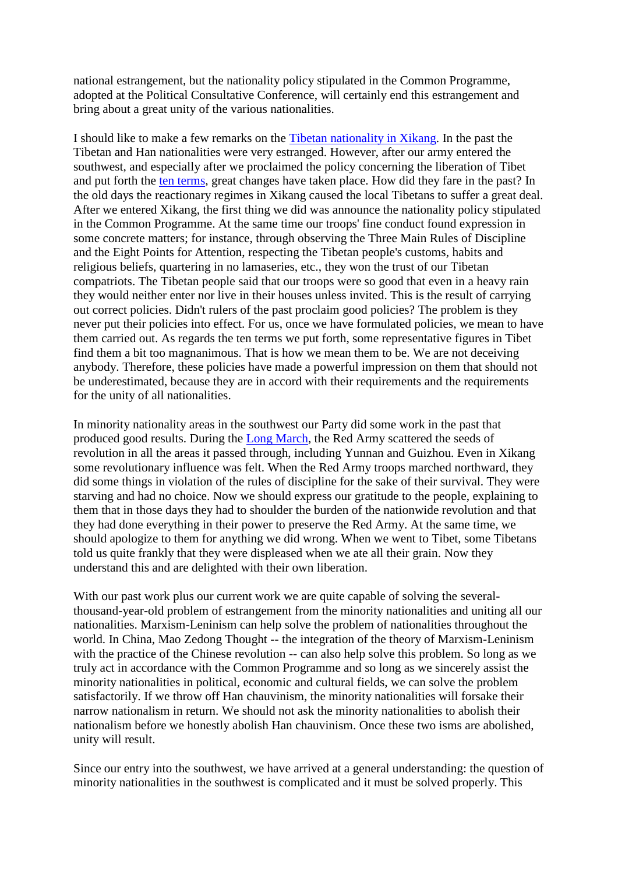national estrangement, but the nationality policy stipulated in the Common Programme, adopted at the Political Consultative Conference, will certainly end this estrangement and bring about a great unity of the various nationalities.

I should like to make a few remarks on the [Tibetan nationality](http://english.peopledaily.com.cn/dengxp/vol1/note/A1300.html) in Xikang. In the past the Tibetan and Han nationalities were very estranged. However, after our army entered the southwest, and especially after we proclaimed the policy concerning the liberation of Tibet and put forth the [ten terms,](http://english.peopledaily.com.cn/dengxp/vol1/note/A1310.html) great changes have taken place. How did they fare in the past? In the old days the reactionary regimes in Xikang caused the local Tibetans to suffer a great deal. After we entered Xikang, the first thing we did was announce the nationality policy stipulated in the Common Programme. At the same time our troops' fine conduct found expression in some concrete matters; for instance, through observing the Three Main Rules of Discipline and the Eight Points for Attention, respecting the Tibetan people's customs, habits and religious beliefs, quartering in no lamaseries, etc., they won the trust of our Tibetan compatriots. The Tibetan people said that our troops were so good that even in a heavy rain they would neither enter nor live in their houses unless invited. This is the result of carrying out correct policies. Didn't rulers of the past proclaim good policies? The problem is they never put their policies into effect. For us, once we have formulated policies, we mean to have them carried out. As regards the ten terms we put forth, some representative figures in Tibet find them a bit too magnanimous. That is how we mean them to be. We are not deceiving anybody. Therefore, these policies have made a powerful impression on them that should not be underestimated, because they are in accord with their requirements and the requirements for the unity of all nationalities.

In minority nationality areas in the southwest our Party did some work in the past that produced good results. During the [Long March,](http://english.peopledaily.com.cn/dengxp/vol1/note/A0180.html) the Red Army scattered the seeds of revolution in all the areas it passed through, including Yunnan and Guizhou. Even in Xikang some revolutionary influence was felt. When the Red Army troops marched northward, they did some things in violation of the rules of discipline for the sake of their survival. They were starving and had no choice. Now we should express our gratitude to the people, explaining to them that in those days they had to shoulder the burden of the nationwide revolution and that they had done everything in their power to preserve the Red Army. At the same time, we should apologize to them for anything we did wrong. When we went to Tibet, some Tibetans told us quite frankly that they were displeased when we ate all their grain. Now they understand this and are delighted with their own liberation.

With our past work plus our current work we are quite capable of solving the severalthousand-year-old problem of estrangement from the minority nationalities and uniting all our nationalities. Marxism-Leninism can help solve the problem of nationalities throughout the world. In China, Mao Zedong Thought -- the integration of the theory of Marxism-Leninism with the practice of the Chinese revolution -- can also help solve this problem. So long as we truly act in accordance with the Common Programme and so long as we sincerely assist the minority nationalities in political, economic and cultural fields, we can solve the problem satisfactorily. If we throw off Han chauvinism, the minority nationalities will forsake their narrow nationalism in return. We should not ask the minority nationalities to abolish their nationalism before we honestly abolish Han chauvinism. Once these two isms are abolished, unity will result.

Since our entry into the southwest, we have arrived at a general understanding: the question of minority nationalities in the southwest is complicated and it must be solved properly. This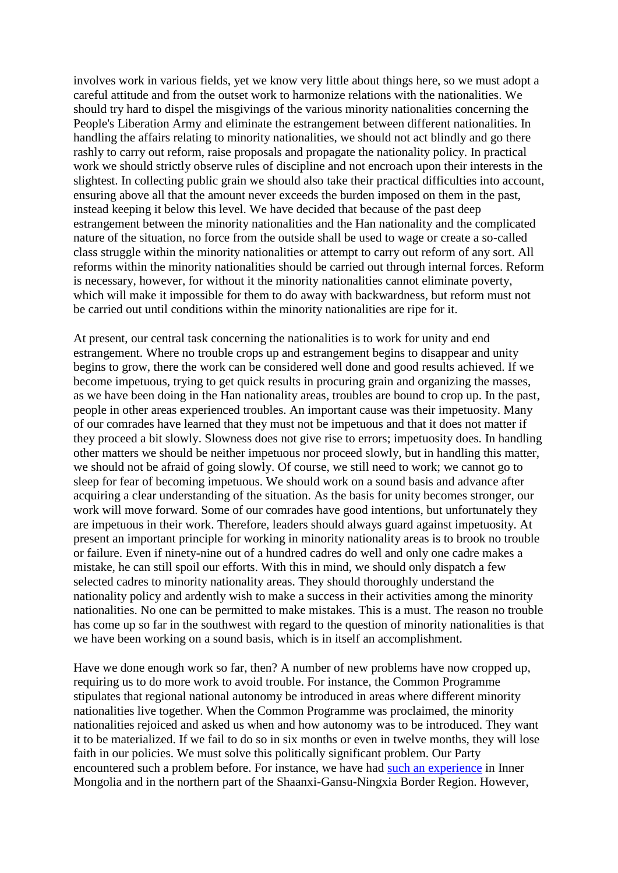involves work in various fields, yet we know very little about things here, so we must adopt a careful attitude and from the outset work to harmonize relations with the nationalities. We should try hard to dispel the misgivings of the various minority nationalities concerning the People's Liberation Army and eliminate the estrangement between different nationalities. In handling the affairs relating to minority nationalities, we should not act blindly and go there rashly to carry out reform, raise proposals and propagate the nationality policy. In practical work we should strictly observe rules of discipline and not encroach upon their interests in the slightest. In collecting public grain we should also take their practical difficulties into account, ensuring above all that the amount never exceeds the burden imposed on them in the past, instead keeping it below this level. We have decided that because of the past deep estrangement between the minority nationalities and the Han nationality and the complicated nature of the situation, no force from the outside shall be used to wage or create a so-called class struggle within the minority nationalities or attempt to carry out reform of any sort. All reforms within the minority nationalities should be carried out through internal forces. Reform is necessary, however, for without it the minority nationalities cannot eliminate poverty, which will make it impossible for them to do away with backwardness, but reform must not be carried out until conditions within the minority nationalities are ripe for it.

At present, our central task concerning the nationalities is to work for unity and end estrangement. Where no trouble crops up and estrangement begins to disappear and unity begins to grow, there the work can be considered well done and good results achieved. If we become impetuous, trying to get quick results in procuring grain and organizing the masses, as we have been doing in the Han nationality areas, troubles are bound to crop up. In the past, people in other areas experienced troubles. An important cause was their impetuosity. Many of our comrades have learned that they must not be impetuous and that it does not matter if they proceed a bit slowly. Slowness does not give rise to errors; impetuosity does. In handling other matters we should be neither impetuous nor proceed slowly, but in handling this matter, we should not be afraid of going slowly. Of course, we still need to work; we cannot go to sleep for fear of becoming impetuous. We should work on a sound basis and advance after acquiring a clear understanding of the situation. As the basis for unity becomes stronger, our work will move forward. Some of our comrades have good intentions, but unfortunately they are impetuous in their work. Therefore, leaders should always guard against impetuosity. At present an important principle for working in minority nationality areas is to brook no trouble or failure. Even if ninety-nine out of a hundred cadres do well and only one cadre makes a mistake, he can still spoil our efforts. With this in mind, we should only dispatch a few selected cadres to minority nationality areas. They should thoroughly understand the nationality policy and ardently wish to make a success in their activities among the minority nationalities. No one can be permitted to make mistakes. This is a must. The reason no trouble has come up so far in the southwest with regard to the question of minority nationalities is that we have been working on a sound basis, which is in itself an accomplishment.

Have we done enough work so far, then? A number of new problems have now cropped up, requiring us to do more work to avoid trouble. For instance, the Common Programme stipulates that regional national autonomy be introduced in areas where different minority nationalities live together. When the Common Programme was proclaimed, the minority nationalities rejoiced and asked us when and how autonomy was to be introduced. They want it to be materialized. If we fail to do so in six months or even in twelve months, they will lose faith in our policies. We must solve this politically significant problem. Our Party encountered such a problem before. For instance, we have had [such an experience](http://english.peopledaily.com.cn/dengxp/vol1/note/A1320.html) in Inner Mongolia and in the northern part of the Shaanxi-Gansu-Ningxia Border Region. However,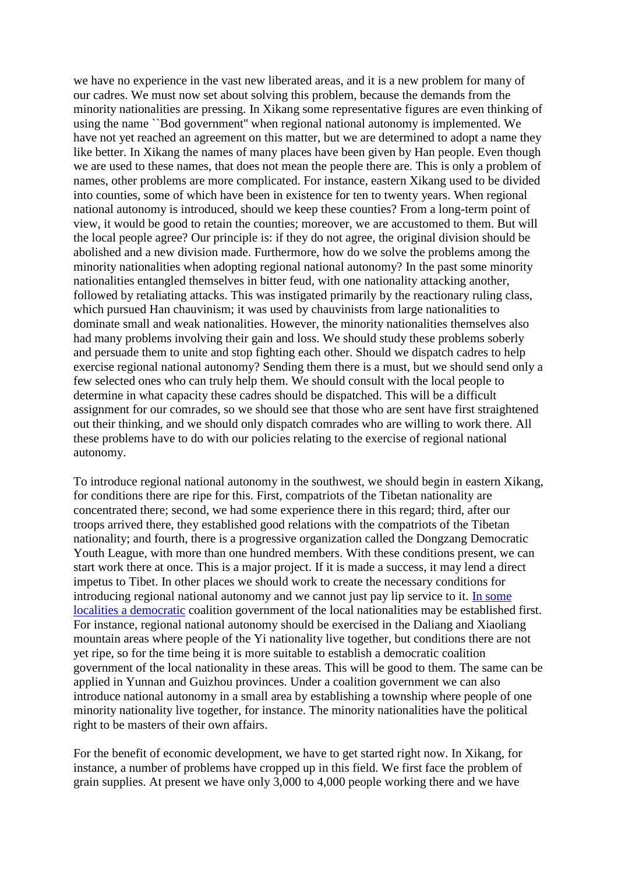we have no experience in the vast new liberated areas, and it is a new problem for many of our cadres. We must now set about solving this problem, because the demands from the minority nationalities are pressing. In Xikang some representative figures are even thinking of using the name ``Bod government'' when regional national autonomy is implemented. We have not yet reached an agreement on this matter, but we are determined to adopt a name they like better. In Xikang the names of many places have been given by Han people. Even though we are used to these names, that does not mean the people there are. This is only a problem of names, other problems are more complicated. For instance, eastern Xikang used to be divided into counties, some of which have been in existence for ten to twenty years. When regional national autonomy is introduced, should we keep these counties? From a long-term point of view, it would be good to retain the counties; moreover, we are accustomed to them. But will the local people agree? Our principle is: if they do not agree, the original division should be abolished and a new division made. Furthermore, how do we solve the problems among the minority nationalities when adopting regional national autonomy? In the past some minority nationalities entangled themselves in bitter feud, with one nationality attacking another, followed by retaliating attacks. This was instigated primarily by the reactionary ruling class, which pursued Han chauvinism; it was used by chauvinists from large nationalities to dominate small and weak nationalities. However, the minority nationalities themselves also had many problems involving their gain and loss. We should study these problems soberly and persuade them to unite and stop fighting each other. Should we dispatch cadres to help exercise regional national autonomy? Sending them there is a must, but we should send only a few selected ones who can truly help them. We should consult with the local people to determine in what capacity these cadres should be dispatched. This will be a difficult assignment for our comrades, so we should see that those who are sent have first straightened out their thinking, and we should only dispatch comrades who are willing to work there. All these problems have to do with our policies relating to the exercise of regional national autonomy.

To introduce regional national autonomy in the southwest, we should begin in eastern Xikang, for conditions there are ripe for this. First, compatriots of the Tibetan nationality are concentrated there; second, we had some experience there in this regard; third, after our troops arrived there, they established good relations with the compatriots of the Tibetan nationality; and fourth, there is a progressive organization called the Dongzang Democratic Youth League, with more than one hundred members. With these conditions present, we can start work there at once. This is a major project. If it is made a success, it may lend a direct impetus to Tibet. In other places we should work to create the necessary conditions for introducing regional national autonomy and we cannot just pay lip service to it. [In some](http://english.peopledaily.com.cn/dengxp/vol1/note/A1370.html)  [localities a democratic](http://english.peopledaily.com.cn/dengxp/vol1/note/A1370.html) coalition government of the local nationalities may be established first. For instance, regional national autonomy should be exercised in the Daliang and Xiaoliang mountain areas where people of the Yi nationality live together, but conditions there are not yet ripe, so for the time being it is more suitable to establish a democratic coalition government of the local nationality in these areas. This will be good to them. The same can be applied in Yunnan and Guizhou provinces. Under a coalition government we can also introduce national autonomy in a small area by establishing a township where people of one minority nationality live together, for instance. The minority nationalities have the political right to be masters of their own affairs.

For the benefit of economic development, we have to get started right now. In Xikang, for instance, a number of problems have cropped up in this field. We first face the problem of grain supplies. At present we have only 3,000 to 4,000 people working there and we have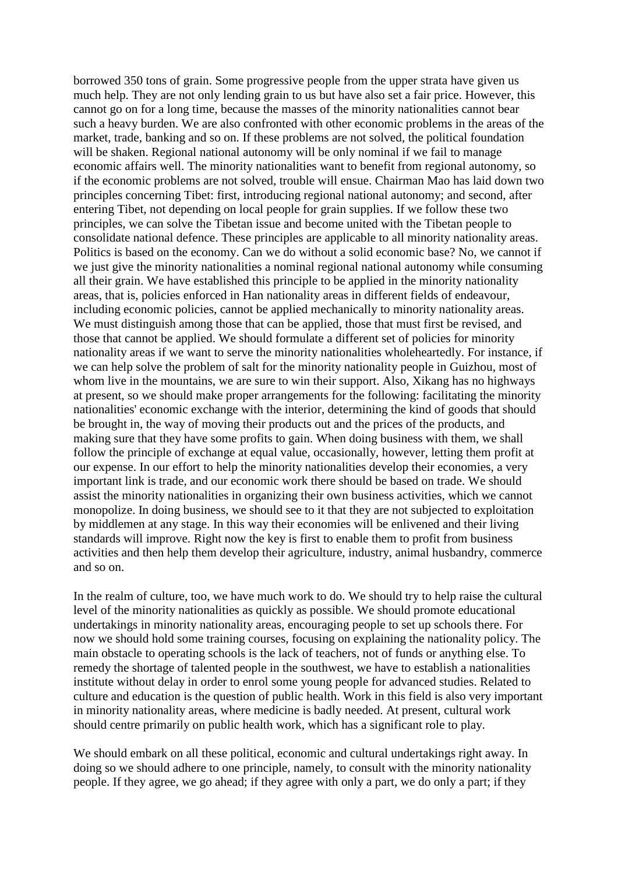borrowed 350 tons of grain. Some progressive people from the upper strata have given us much help. They are not only lending grain to us but have also set a fair price. However, this cannot go on for a long time, because the masses of the minority nationalities cannot bear such a heavy burden. We are also confronted with other economic problems in the areas of the market, trade, banking and so on. If these problems are not solved, the political foundation will be shaken. Regional national autonomy will be only nominal if we fail to manage economic affairs well. The minority nationalities want to benefit from regional autonomy, so if the economic problems are not solved, trouble will ensue. Chairman Mao has laid down two principles concerning Tibet: first, introducing regional national autonomy; and second, after entering Tibet, not depending on local people for grain supplies. If we follow these two principles, we can solve the Tibetan issue and become united with the Tibetan people to consolidate national defence. These principles are applicable to all minority nationality areas. Politics is based on the economy. Can we do without a solid economic base? No, we cannot if we just give the minority nationalities a nominal regional national autonomy while consuming all their grain. We have established this principle to be applied in the minority nationality areas, that is, policies enforced in Han nationality areas in different fields of endeavour, including economic policies, cannot be applied mechanically to minority nationality areas. We must distinguish among those that can be applied, those that must first be revised, and those that cannot be applied. We should formulate a different set of policies for minority nationality areas if we want to serve the minority nationalities wholeheartedly. For instance, if we can help solve the problem of salt for the minority nationality people in Guizhou, most of whom live in the mountains, we are sure to win their support. Also, Xikang has no highways at present, so we should make proper arrangements for the following: facilitating the minority nationalities' economic exchange with the interior, determining the kind of goods that should be brought in, the way of moving their products out and the prices of the products, and making sure that they have some profits to gain. When doing business with them, we shall follow the principle of exchange at equal value, occasionally, however, letting them profit at our expense. In our effort to help the minority nationalities develop their economies, a very important link is trade, and our economic work there should be based on trade. We should assist the minority nationalities in organizing their own business activities, which we cannot monopolize. In doing business, we should see to it that they are not subjected to exploitation by middlemen at any stage. In this way their economies will be enlivened and their living standards will improve. Right now the key is first to enable them to profit from business activities and then help them develop their agriculture, industry, animal husbandry, commerce and so on.

In the realm of culture, too, we have much work to do. We should try to help raise the cultural level of the minority nationalities as quickly as possible. We should promote educational undertakings in minority nationality areas, encouraging people to set up schools there. For now we should hold some training courses, focusing on explaining the nationality policy. The main obstacle to operating schools is the lack of teachers, not of funds or anything else. To remedy the shortage of talented people in the southwest, we have to establish a nationalities institute without delay in order to enrol some young people for advanced studies. Related to culture and education is the question of public health. Work in this field is also very important in minority nationality areas, where medicine is badly needed. At present, cultural work should centre primarily on public health work, which has a significant role to play.

We should embark on all these political, economic and cultural undertakings right away. In doing so we should adhere to one principle, namely, to consult with the minority nationality people. If they agree, we go ahead; if they agree with only a part, we do only a part; if they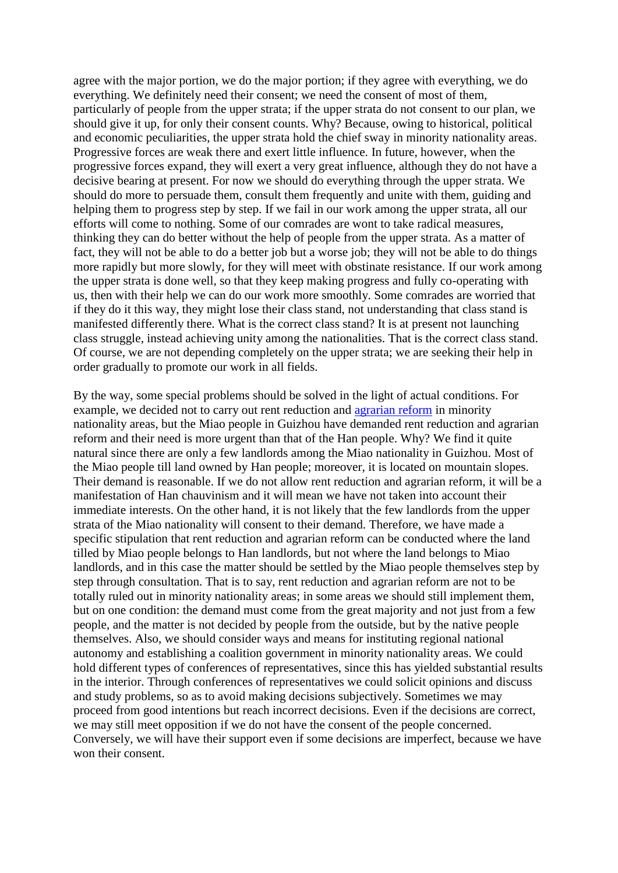agree with the major portion, we do the major portion; if they agree with everything, we do everything. We definitely need their consent; we need the consent of most of them, particularly of people from the upper strata; if the upper strata do not consent to our plan, we should give it up, for only their consent counts. Why? Because, owing to historical, political and economic peculiarities, the upper strata hold the chief sway in minority nationality areas. Progressive forces are weak there and exert little influence. In future, however, when the progressive forces expand, they will exert a very great influence, although they do not have a decisive bearing at present. For now we should do everything through the upper strata. We should do more to persuade them, consult them frequently and unite with them, guiding and helping them to progress step by step. If we fail in our work among the upper strata, all our efforts will come to nothing. Some of our comrades are wont to take radical measures, thinking they can do better without the help of people from the upper strata. As a matter of fact, they will not be able to do a better job but a worse job; they will not be able to do things more rapidly but more slowly, for they will meet with obstinate resistance. If our work among the upper strata is done well, so that they keep making progress and fully co-operating with us, then with their help we can do our work more smoothly. Some comrades are worried that if they do it this way, they might lose their class stand, not understanding that class stand is manifested differently there. What is the correct class stand? It is at present not launching class struggle, instead achieving unity among the nationalities. That is the correct class stand. Of course, we are not depending completely on the upper strata; we are seeking their help in order gradually to promote our work in all fields.

By the way, some special problems should be solved in the light of actual conditions. For example, we decided not to carry out rent reduction and [agrarian reform](http://english.peopledaily.com.cn/dengxp/vol1/note/A1220.html) in minority nationality areas, but the Miao people in Guizhou have demanded rent reduction and agrarian reform and their need is more urgent than that of the Han people. Why? We find it quite natural since there are only a few landlords among the Miao nationality in Guizhou. Most of the Miao people till land owned by Han people; moreover, it is located on mountain slopes. Their demand is reasonable. If we do not allow rent reduction and agrarian reform, it will be a manifestation of Han chauvinism and it will mean we have not taken into account their immediate interests. On the other hand, it is not likely that the few landlords from the upper strata of the Miao nationality will consent to their demand. Therefore, we have made a specific stipulation that rent reduction and agrarian reform can be conducted where the land tilled by Miao people belongs to Han landlords, but not where the land belongs to Miao landlords, and in this case the matter should be settled by the Miao people themselves step by step through consultation. That is to say, rent reduction and agrarian reform are not to be totally ruled out in minority nationality areas; in some areas we should still implement them, but on one condition: the demand must come from the great majority and not just from a few people, and the matter is not decided by people from the outside, but by the native people themselves. Also, we should consider ways and means for instituting regional national autonomy and establishing a coalition government in minority nationality areas. We could hold different types of conferences of representatives, since this has yielded substantial results in the interior. Through conferences of representatives we could solicit opinions and discuss and study problems, so as to avoid making decisions subjectively. Sometimes we may proceed from good intentions but reach incorrect decisions. Even if the decisions are correct, we may still meet opposition if we do not have the consent of the people concerned. Conversely, we will have their support even if some decisions are imperfect, because we have won their consent.